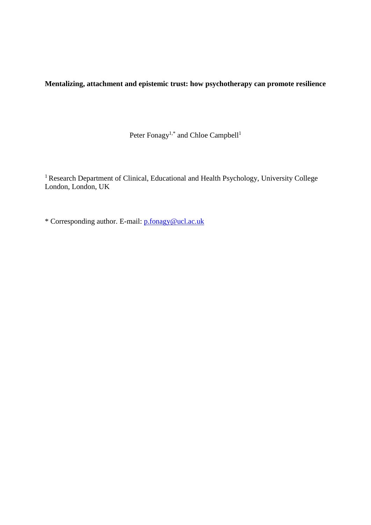**Mentalizing, attachment and epistemic trust: how psychotherapy can promote resilience**

Peter Fonagy<sup>1,\*</sup> and Chloe Campbell<sup>1</sup>

<sup>1</sup> Research Department of Clinical, Educational and Health Psychology, University College London, London, UK

\* Corresponding author. E-mail: [p.fonagy@ucl.ac.uk](mailto:p.fonagy@ucl.ac.uk)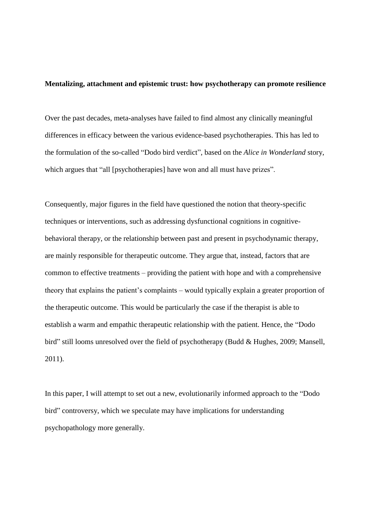## **Mentalizing, attachment and epistemic trust: how psychotherapy can promote resilience**

Over the past decades, meta-analyses have failed to find almost any clinically meaningful differences in efficacy between the various evidence-based psychotherapies. This has led to the formulation of the so-called "Dodo bird verdict", based on the *Alice in Wonderland* story, which argues that "all [psychotherapies] have won and all must have prizes".

Consequently, major figures in the field have questioned the notion that theory-specific techniques or interventions, such as addressing dysfunctional cognitions in cognitivebehavioral therapy, or the relationship between past and present in psychodynamic therapy, are mainly responsible for therapeutic outcome. They argue that, instead, factors that are common to effective treatments – providing the patient with hope and with a comprehensive theory that explains the patient's complaints – would typically explain a greater proportion of the therapeutic outcome. This would be particularly the case if the therapist is able to establish a warm and empathic therapeutic relationship with the patient. Hence, the "Dodo bird" still looms unresolved over the field of psychotherapy (Budd & Hughes, 2009; Mansell, 2011).

In this paper, I will attempt to set out a new, evolutionarily informed approach to the "Dodo bird" controversy, which we speculate may have implications for understanding psychopathology more generally.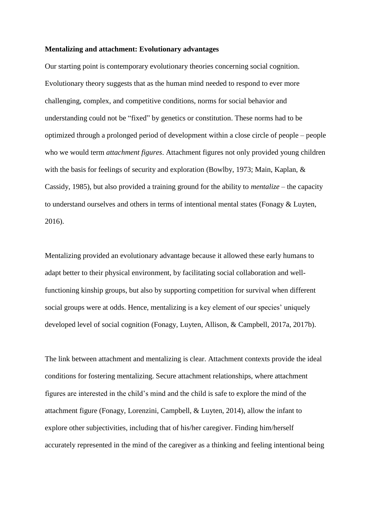### **Mentalizing and attachment: Evolutionary advantages**

Our starting point is contemporary evolutionary theories concerning social cognition. Evolutionary theory suggests that as the human mind needed to respond to ever more challenging, complex, and competitive conditions, norms for social behavior and understanding could not be "fixed" by genetics or constitution. These norms had to be optimized through a prolonged period of development within a close circle of people – people who we would term *attachment figures*. Attachment figures not only provided young children with the basis for feelings of security and exploration (Bowlby, 1973; Main, Kaplan, & Cassidy, 1985), but also provided a training ground for the ability to *mentalize* – the capacity to understand ourselves and others in terms of intentional mental states (Fonagy & Luyten, 2016).

Mentalizing provided an evolutionary advantage because it allowed these early humans to adapt better to their physical environment, by facilitating social collaboration and wellfunctioning kinship groups, but also by supporting competition for survival when different social groups were at odds. Hence, mentalizing is a key element of our species' uniquely developed level of social cognition (Fonagy, Luyten, Allison, & Campbell, 2017a, 2017b).

The link between attachment and mentalizing is clear. Attachment contexts provide the ideal conditions for fostering mentalizing. Secure attachment relationships, where attachment figures are interested in the child's mind and the child is safe to explore the mind of the attachment figure (Fonagy, Lorenzini, Campbell, & Luyten, 2014), allow the infant to explore other subjectivities, including that of his/her caregiver. Finding him/herself accurately represented in the mind of the caregiver as a thinking and feeling intentional being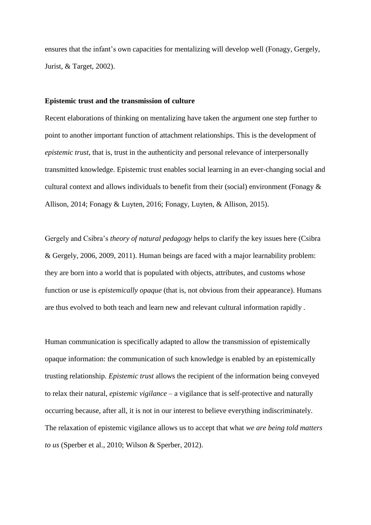ensures that the infant's own capacities for mentalizing will develop well (Fonagy, Gergely, Jurist, & Target, 2002).

### **Epistemic trust and the transmission of culture**

Recent elaborations of thinking on mentalizing have taken the argument one step further to point to another important function of attachment relationships. This is the development of *epistemic trust*, that is, trust in the authenticity and personal relevance of interpersonally transmitted knowledge. Epistemic trust enables social learning in an ever-changing social and cultural context and allows individuals to benefit from their (social) environment (Fonagy & Allison, 2014; Fonagy & Luyten, 2016; Fonagy, Luyten, & Allison, 2015).

Gergely and Csibra's *theory of natural pedagogy* helps to clarify the key issues here (Csibra & Gergely, 2006, 2009, 2011). Human beings are faced with a major learnability problem: they are born into a world that is populated with objects, attributes, and customs whose function or use is *epistemically opaque* (that is, not obvious from their appearance). Humans are thus evolved to both teach and learn new and relevant cultural information rapidly .

Human communication is specifically adapted to allow the transmission of epistemically opaque information: the communication of such knowledge is enabled by an epistemically trusting relationship. *Epistemic trust* allows the recipient of the information being conveyed to relax their natural, *epistemic vigilance* – a vigilance that is self-protective and naturally occurring because, after all, it is not in our interest to believe everything indiscriminately. The relaxation of epistemic vigilance allows us to accept that what *we are being told matters to us* (Sperber et al., 2010; Wilson & Sperber, 2012).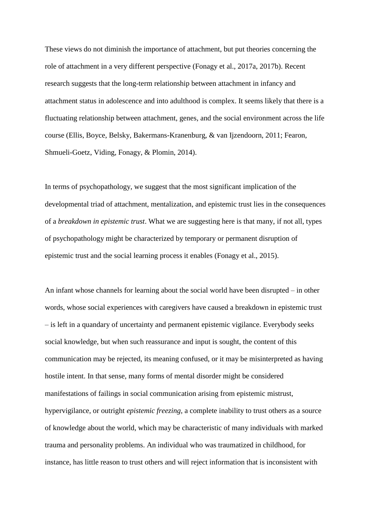These views do not diminish the importance of attachment, but put theories concerning the role of attachment in a very different perspective (Fonagy et al., 2017a, 2017b). Recent research suggests that the long-term relationship between attachment in infancy and attachment status in adolescence and into adulthood is complex. It seems likely that there is a fluctuating relationship between attachment, genes, and the social environment across the life course (Ellis, Boyce, Belsky, Bakermans-Kranenburg, & van Ijzendoorn, 2011; Fearon, Shmueli-Goetz, Viding, Fonagy, & Plomin, 2014).

In terms of psychopathology, we suggest that the most significant implication of the developmental triad of attachment, mentalization, and epistemic trust lies in the consequences of a *breakdown in epistemic trust*. What we are suggesting here is that many, if not all, types of psychopathology might be characterized by temporary or permanent disruption of epistemic trust and the social learning process it enables (Fonagy et al., 2015).

An infant whose channels for learning about the social world have been disrupted – in other words, whose social experiences with caregivers have caused a breakdown in epistemic trust – is left in a quandary of uncertainty and permanent epistemic vigilance. Everybody seeks social knowledge, but when such reassurance and input is sought, the content of this communication may be rejected, its meaning confused, or it may be misinterpreted as having hostile intent. In that sense, many forms of mental disorder might be considered manifestations of failings in social communication arising from epistemic mistrust, hypervigilance, or outright *epistemic freezing*, a complete inability to trust others as a source of knowledge about the world, which may be characteristic of many individuals with marked trauma and personality problems. An individual who was traumatized in childhood, for instance, has little reason to trust others and will reject information that is inconsistent with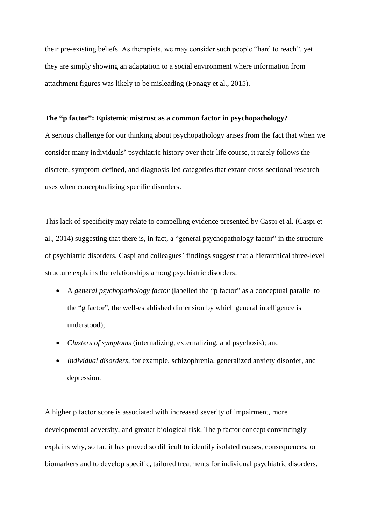their pre-existing beliefs. As therapists, we may consider such people "hard to reach", yet they are simply showing an adaptation to a social environment where information from attachment figures was likely to be misleading (Fonagy et al., 2015).

### **The "p factor": Epistemic mistrust as a common factor in psychopathology?**

A serious challenge for our thinking about psychopathology arises from the fact that when we consider many individuals' psychiatric history over their life course, it rarely follows the discrete, symptom-defined, and diagnosis-led categories that extant cross-sectional research uses when conceptualizing specific disorders.

This lack of specificity may relate to compelling evidence presented by Caspi et al. (Caspi et al., 2014) suggesting that there is, in fact, a "general psychopathology factor" in the structure of psychiatric disorders. Caspi and colleagues' findings suggest that a hierarchical three-level structure explains the relationships among psychiatric disorders:

- A *general psychopathology factor* (labelled the "p factor" as a conceptual parallel to the "g factor", the well-established dimension by which general intelligence is understood);
- *Clusters of symptoms* (internalizing, externalizing, and psychosis); and
- *Individual disorders*, for example, schizophrenia, generalized anxiety disorder, and depression.

A higher p factor score is associated with increased severity of impairment, more developmental adversity, and greater biological risk. The p factor concept convincingly explains why, so far, it has proved so difficult to identify isolated causes, consequences, or biomarkers and to develop specific, tailored treatments for individual psychiatric disorders.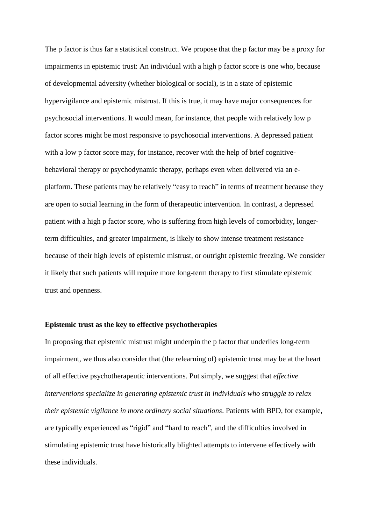The p factor is thus far a statistical construct. We propose that the p factor may be a proxy for impairments in epistemic trust: An individual with a high p factor score is one who, because of developmental adversity (whether biological or social), is in a state of epistemic hypervigilance and epistemic mistrust. If this is true, it may have major consequences for psychosocial interventions. It would mean, for instance, that people with relatively low p factor scores might be most responsive to psychosocial interventions. A depressed patient with a low p factor score may, for instance, recover with the help of brief cognitivebehavioral therapy or psychodynamic therapy, perhaps even when delivered via an eplatform. These patients may be relatively "easy to reach" in terms of treatment because they are open to social learning in the form of therapeutic intervention. In contrast, a depressed patient with a high p factor score, who is suffering from high levels of comorbidity, longerterm difficulties, and greater impairment, is likely to show intense treatment resistance because of their high levels of epistemic mistrust, or outright epistemic freezing. We consider it likely that such patients will require more long-term therapy to first stimulate epistemic trust and openness.

# **Epistemic trust as the key to effective psychotherapies**

In proposing that epistemic mistrust might underpin the p factor that underlies long-term impairment, we thus also consider that (the relearning of) epistemic trust may be at the heart of all effective psychotherapeutic interventions. Put simply, we suggest that *effective interventions specialize in generating epistemic trust in individuals who struggle to relax their epistemic vigilance in more ordinary social situations*. Patients with BPD, for example, are typically experienced as "rigid" and "hard to reach", and the difficulties involved in stimulating epistemic trust have historically blighted attempts to intervene effectively with these individuals.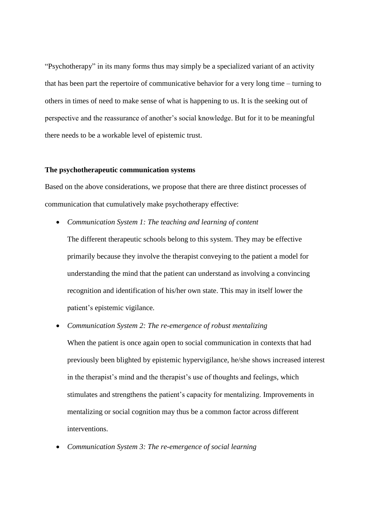"Psychotherapy" in its many forms thus may simply be a specialized variant of an activity that has been part the repertoire of communicative behavior for a very long time – turning to others in times of need to make sense of what is happening to us. It is the seeking out of perspective and the reassurance of another's social knowledge. But for it to be meaningful there needs to be a workable level of epistemic trust.

## **The psychotherapeutic communication systems**

Based on the above considerations, we propose that there are three distinct processes of communication that cumulatively make psychotherapy effective:

*Communication System 1: The teaching and learning of content*

The different therapeutic schools belong to this system. They may be effective primarily because they involve the therapist conveying to the patient a model for understanding the mind that the patient can understand as involving a convincing recognition and identification of his/her own state. This may in itself lower the patient's epistemic vigilance.

*Communication System 2: The re-emergence of robust mentalizing*

When the patient is once again open to social communication in contexts that had previously been blighted by epistemic hypervigilance, he/she shows increased interest in the therapist's mind and the therapist's use of thoughts and feelings, which stimulates and strengthens the patient's capacity for mentalizing. Improvements in mentalizing or social cognition may thus be a common factor across different interventions.

*Communication System 3: The re-emergence of social learning*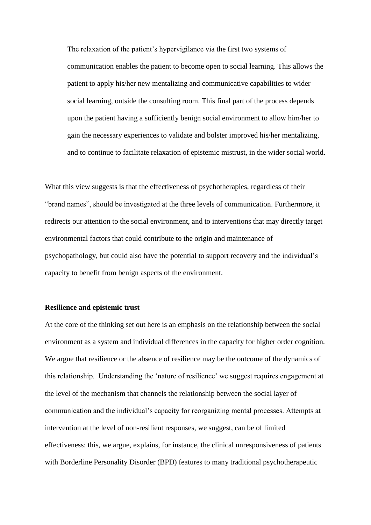The relaxation of the patient's hypervigilance via the first two systems of communication enables the patient to become open to social learning. This allows the patient to apply his/her new mentalizing and communicative capabilities to wider social learning, outside the consulting room. This final part of the process depends upon the patient having a sufficiently benign social environment to allow him/her to gain the necessary experiences to validate and bolster improved his/her mentalizing, and to continue to facilitate relaxation of epistemic mistrust, in the wider social world.

What this view suggests is that the effectiveness of psychotherapies, regardless of their "brand names", should be investigated at the three levels of communication. Furthermore, it redirects our attention to the social environment, and to interventions that may directly target environmental factors that could contribute to the origin and maintenance of psychopathology, but could also have the potential to support recovery and the individual's capacity to benefit from benign aspects of the environment.

### **Resilience and epistemic trust**

At the core of the thinking set out here is an emphasis on the relationship between the social environment as a system and individual differences in the capacity for higher order cognition. We argue that resilience or the absence of resilience may be the outcome of the dynamics of this relationship. Understanding the 'nature of resilience' we suggest requires engagement at the level of the mechanism that channels the relationship between the social layer of communication and the individual's capacity for reorganizing mental processes. Attempts at intervention at the level of non-resilient responses, we suggest, can be of limited effectiveness: this, we argue, explains, for instance, the clinical unresponsiveness of patients with Borderline Personality Disorder (BPD) features to many traditional psychotherapeutic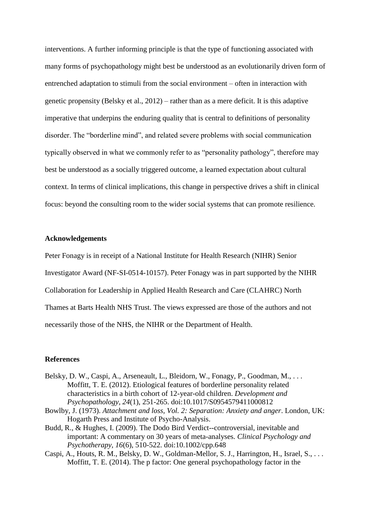interventions. A further informing principle is that the type of functioning associated with many forms of psychopathology might best be understood as an evolutionarily driven form of entrenched adaptation to stimuli from the social environment – often in interaction with genetic propensity (Belsky et al., 2012) – rather than as a mere deficit. It is this adaptive imperative that underpins the enduring quality that is central to definitions of personality disorder. The "borderline mind", and related severe problems with social communication typically observed in what we commonly refer to as "personality pathology", therefore may best be understood as a socially triggered outcome, a learned expectation about cultural context. In terms of clinical implications, this change in perspective drives a shift in clinical focus: beyond the consulting room to the wider social systems that can promote resilience.

### **Acknowledgements**

Peter Fonagy is in receipt of a National Institute for Health Research (NIHR) Senior Investigator Award (NF-SI-0514-10157). Peter Fonagy was in part supported by the NIHR Collaboration for Leadership in Applied Health Research and Care (CLAHRC) North Thames at Barts Health NHS Trust. The views expressed are those of the authors and not necessarily those of the NHS, the NIHR or the Department of Health.

## **References**

- Belsky, D. W., Caspi, A., Arseneault, L., Bleidorn, W., Fonagy, P., Goodman, M., . . . Moffitt, T. E. (2012). Etiological features of borderline personality related characteristics in a birth cohort of 12-year-old children. *Development and Psychopathology, 24*(1), 251-265. doi:10.1017/S0954579411000812
- Bowlby, J. (1973). *Attachment and loss, Vol. 2: Separation: Anxiety and anger*. London, UK: Hogarth Press and Institute of Psycho-Analysis.
- Budd, R., & Hughes, I. (2009). The Dodo Bird Verdict--controversial, inevitable and important: A commentary on 30 years of meta-analyses. *Clinical Psychology and Psychotherapy, 16*(6), 510-522. doi:10.1002/cpp.648
- Caspi, A., Houts, R. M., Belsky, D. W., Goldman-Mellor, S. J., Harrington, H., Israel, S., . . . Moffitt, T. E. (2014). The p factor: One general psychopathology factor in the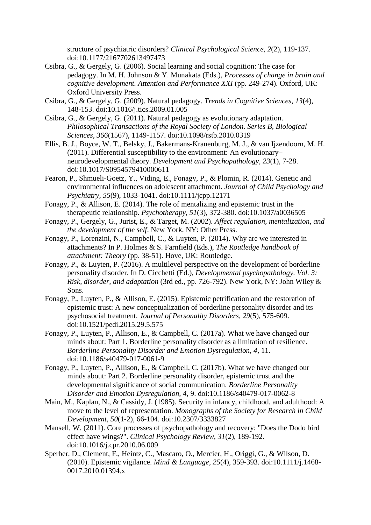structure of psychiatric disorders? *Clinical Psychological Science, 2*(2), 119-137. doi:10.1177/2167702613497473

- Csibra, G., & Gergely, G. (2006). Social learning and social cognition: The case for pedagogy. In M. H. Johnson & Y. Munakata (Eds.), *Processes of change in brain and cognitive development. Attention and Performance XXI* (pp. 249-274). Oxford, UK: Oxford University Press.
- Csibra, G., & Gergely, G. (2009). Natural pedagogy. *Trends in Cognitive Sciences, 13*(4), 148-153. doi:10.1016/j.tics.2009.01.005
- Csibra, G., & Gergely, G. (2011). Natural pedagogy as evolutionary adaptation. *Philosophical Transactions of the Royal Society of London. Series B, Biological Sciences, 366*(1567), 1149-1157. doi:10.1098/rstb.2010.0319
- Ellis, B. J., Boyce, W. T., Belsky, J., Bakermans-Kranenburg, M. J., & van Ijzendoorn, M. H. (2011). Differential susceptibility to the environment: An evolutionary– neurodevelopmental theory. *Development and Psychopathology, 23*(1), 7-28. doi:10.1017/S0954579410000611
- Fearon, P., Shmueli-Goetz, Y., Viding, E., Fonagy, P., & Plomin, R. (2014). Genetic and environmental influences on adolescent attachment. *Journal of Child Psychology and Psychiatry, 55*(9), 1033-1041. doi:10.1111/jcpp.12171
- Fonagy, P., & Allison, E. (2014). The role of mentalizing and epistemic trust in the therapeutic relationship. *Psychotherapy, 51*(3), 372-380. doi:10.1037/a0036505
- Fonagy, P., Gergely, G., Jurist, E., & Target, M. (2002). *Affect regulation, mentalization, and the development of the self*. New York, NY: Other Press.
- Fonagy, P., Lorenzini, N., Campbell, C., & Luyten, P. (2014). Why are we interested in attachments? In P. Holmes & S. Farnfield (Eds.), *The Routledge handbook of attachment: Theory* (pp. 38-51). Hove, UK: Routledge.
- Fonagy, P., & Luyten, P. (2016). A multilevel perspective on the development of borderline personality disorder. In D. Cicchetti (Ed.), *Developmental psychopathology. Vol. 3: Risk, disorder, and adaptation* (3rd ed., pp. 726-792). New York, NY: John Wiley & Sons.
- Fonagy, P., Luyten, P., & Allison, E. (2015). Epistemic petrification and the restoration of epistemic trust: A new conceptualization of borderline personality disorder and its psychosocial treatment. *Journal of Personality Disorders, 29*(5), 575-609. doi:10.1521/pedi.2015.29.5.575
- Fonagy, P., Luyten, P., Allison, E., & Campbell, C. (2017a). What we have changed our minds about: Part 1. Borderline personality disorder as a limitation of resilience. *Borderline Personality Disorder and Emotion Dysregulation, 4*, 11. doi:10.1186/s40479-017-0061-9
- Fonagy, P., Luyten, P., Allison, E., & Campbell, C. (2017b). What we have changed our minds about: Part 2. Borderline personality disorder, epistemic trust and the developmental significance of social communication. *Borderline Personality Disorder and Emotion Dysregulation, 4*, 9. doi:10.1186/s40479-017-0062-8
- Main, M., Kaplan, N., & Cassidy, J. (1985). Security in infancy, childhood, and adulthood: A move to the level of representation. *Monographs of the Society for Research in Child Development, 50*(1-2), 66-104. doi:10.2307/3333827
- Mansell, W. (2011). Core processes of psychopathology and recovery: "Does the Dodo bird effect have wings?". *Clinical Psychology Review, 31*(2), 189-192. doi:10.1016/j.cpr.2010.06.009
- Sperber, D., Clement, F., Heintz, C., Mascaro, O., Mercier, H., Origgi, G., & Wilson, D. (2010). Epistemic vigilance. *Mind & Language, 25*(4), 359-393. doi:10.1111/j.1468- 0017.2010.01394.x